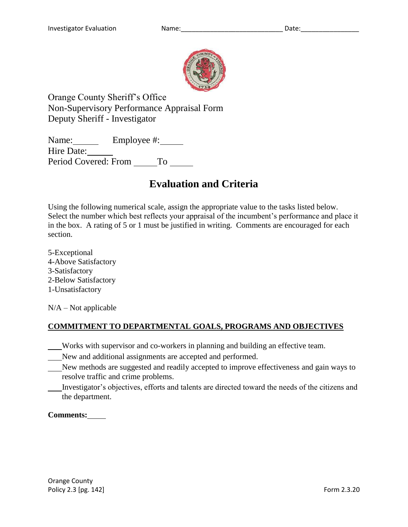

Orange County Sheriff's Office Non-Supervisory Performance Appraisal Form Deputy Sheriff - Investigator

Name: Employee #: Hire Date: Period Covered: From To

# **Evaluation and Criteria**

Using the following numerical scale, assign the appropriate value to the tasks listed below. Select the number which best reflects your appraisal of the incumbent's performance and place it in the box. A rating of 5 or 1 must be justified in writing. Comments are encouraged for each section.

5-Exceptional 4-Above Satisfactory 3-Satisfactory 2-Below Satisfactory 1-Unsatisfactory

 $N/A - Not$  applicable

# **COMMITMENT TO DEPARTMENTAL GOALS, PROGRAMS AND OBJECTIVES**

- Works with supervisor and co-workers in planning and building an effective team.
- New and additional assignments are accepted and performed.
- New methods are suggested and readily accepted to improve effectiveness and gain ways to resolve traffic and crime problems.
- Investigator's objectives, efforts and talents are directed toward the needs of the citizens and the department.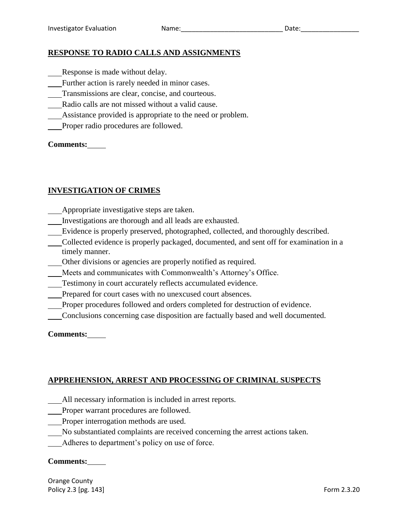#### **RESPONSE TO RADIO CALLS AND ASSIGNMENTS**

- Response is made without delay.
- Further action is rarely needed in minor cases.
- Transmissions are clear, concise, and courteous.
- Radio calls are not missed without a valid cause.
- Assistance provided is appropriate to the need or problem.
- Proper radio procedures are followed.

#### **Comments:**

#### **INVESTIGATION OF CRIMES**

- Appropriate investigative steps are taken.
- Investigations are thorough and all leads are exhausted.
- Evidence is properly preserved, photographed, collected, and thoroughly described.
- Collected evidence is properly packaged, documented, and sent off for examination in a timely manner.
- Other divisions or agencies are properly notified as required.
- Meets and communicates with Commonwealth's Attorney's Office.
- Testimony in court accurately reflects accumulated evidence.
- Prepared for court cases with no unexcused court absences.
- Proper procedures followed and orders completed for destruction of evidence.
- Conclusions concerning case disposition are factually based and well documented.

**Comments:**

#### **APPREHENSION, ARREST AND PROCESSING OF CRIMINAL SUSPECTS**

- All necessary information is included in arrest reports.
- Proper warrant procedures are followed.
- Proper interrogation methods are used.
- No substantiated complaints are received concerning the arrest actions taken.
- Adheres to department's policy on use of force.

#### **Comments:**

Orange County Policy 2.3 [pg. 143] Form 2.3.20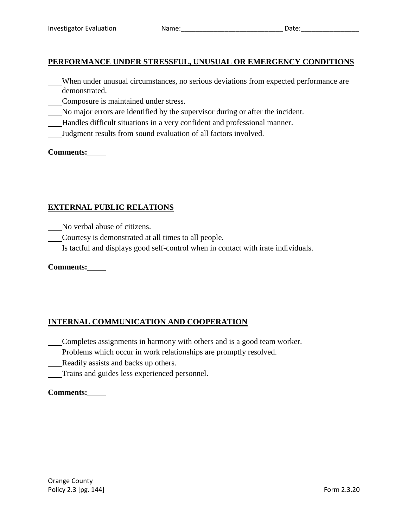# **PERFORMANCE UNDER STRESSFUL, UNUSUAL OR EMERGENCY CONDITIONS**

- When under unusual circumstances, no serious deviations from expected performance are demonstrated.
- Composure is maintained under stress.
- No major errors are identified by the supervisor during or after the incident.
- Handles difficult situations in a very confident and professional manner.
- Judgment results from sound evaluation of all factors involved.

#### **Comments:**

# **EXTERNAL PUBLIC RELATIONS**

No verbal abuse of citizens.

- Courtesy is demonstrated at all times to all people.
- Is tactful and displays good self-control when in contact with irate individuals.

#### **Comments:**

# **INTERNAL COMMUNICATION AND COOPERATION**

- Completes assignments in harmony with others and is a good team worker.
- Problems which occur in work relationships are promptly resolved.
- Readily assists and backs up others.
- Trains and guides less experienced personnel.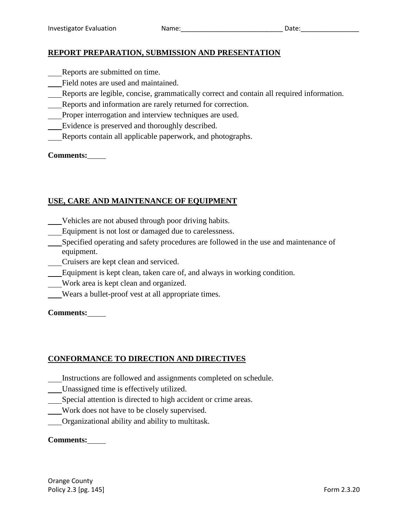#### **REPORT PREPARATION, SUBMISSION AND PRESENTATION**

- Reports are submitted on time.
- Field notes are used and maintained.
- Reports are legible, concise, grammatically correct and contain all required information.
- Reports and information are rarely returned for correction.
- Proper interrogation and interview techniques are used.
- Evidence is preserved and thoroughly described.
- Reports contain all applicable paperwork, and photographs.

#### **Comments:**

#### **USE, CARE AND MAINTENANCE OF EQUIPMENT**

- Vehicles are not abused through poor driving habits.
- Equipment is not lost or damaged due to carelessness.
- Specified operating and safety procedures are followed in the use and maintenance of equipment.
- Cruisers are kept clean and serviced.
- Equipment is kept clean, taken care of, and always in working condition.
- Work area is kept clean and organized.
- Wears a bullet-proof vest at all appropriate times.

**Comments:**

#### **CONFORMANCE TO DIRECTION AND DIRECTIVES**

- Instructions are followed and assignments completed on schedule.
- Unassigned time is effectively utilized.
- Special attention is directed to high accident or crime areas.
- Work does not have to be closely supervised.
- Organizational ability and ability to multitask.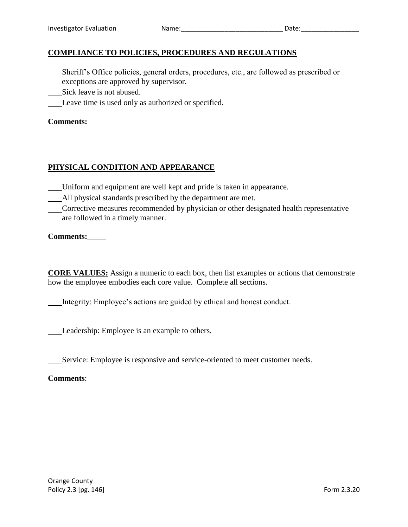#### **COMPLIANCE TO POLICIES, PROCEDURES AND REGULATIONS**

- Sheriff's Office policies, general orders, procedures, etc., are followed as prescribed or exceptions are approved by supervisor.
- Sick leave is not abused.
- Leave time is used only as authorized or specified.

#### **Comments:**

#### **PHYSICAL CONDITION AND APPEARANCE**

- Uniform and equipment are well kept and pride is taken in appearance.
- All physical standards prescribed by the department are met.
- Corrective measures recommended by physician or other designated health representative are followed in a timely manner.

**Comments:**

**CORE VALUES:** Assign a numeric to each box, then list examples or actions that demonstrate how the employee embodies each core value. Complete all sections.

Integrity: Employee's actions are guided by ethical and honest conduct.

Leadership: Employee is an example to others.

Service: Employee is responsive and service-oriented to meet customer needs.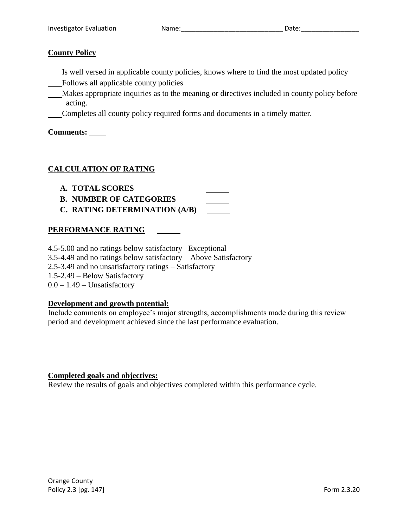#### **County Policy**

- Is well versed in applicable county policies, knows where to find the most updated policy
- Follows all applicable county policies
- Makes appropriate inquiries as to the meaning or directives included in county policy before acting.
- Completes all county policy required forms and documents in a timely matter.

**Comments:** 

# **CALCULATION OF RATING**

- **A. TOTAL SCORES**
- **B. NUMBER OF CATEGORIES**
- **C. RATING DETERMINATION (A/B)**

## **PERFORMANCE RATING**

4.5-5.00 and no ratings below satisfactory –Exceptional 3.5-4.49 and no ratings below satisfactory – Above Satisfactory 2.5-3.49 and no unsatisfactory ratings – Satisfactory 1.5-2.49 – Below Satisfactory  $0.0 - 1.49$  – Unsatisfactory

#### **Development and growth potential:**

Include comments on employee's major strengths, accomplishments made during this review period and development achieved since the last performance evaluation.

#### **Completed goals and objectives:**

Review the results of goals and objectives completed within this performance cycle.